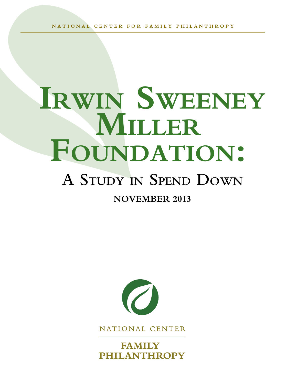**NATI O NAL C E N T ER F OR FA M ILY PHILANTH RO P Y**

# **Irwin Sweeney Miller Foundation:**

## **A Study in Spend Down**

### **November 2013**



NATIONAL CENTER

**FAMILY PHILANTHROPY**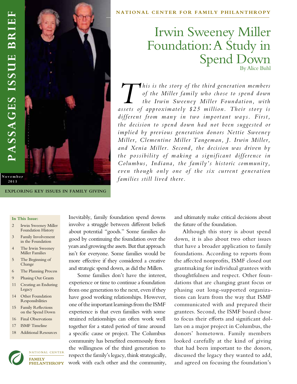

**Exploring Key Issues in Family Giving**

#### **NATI O NAL C E NT ER F OR FAMILY PHILANTH RO PY**

### Irwin Sweeney Miller Foundation: A Study in Spend Down

*This is the story of the third generation members*<br>of the Miller family who chose to spend down<br>the Irwin Sweeney Miller Foundation, with *of the Miller family who chose to spend down the Irwin Sweeney Miller Foundation, with assets of approximately \$25 million. Their story is different from many in two important ways. First, the decision to spend down had not been suggested or implied by previous generation donors Nettie Sweeney Miller, Clementine Miller Tangeman, J. Irwin Miller, and Xenia Miller. Second, the decision was driven by the possibility of making a significant difference in Columbus, Indiana, the family's historic community, even though only one of the six current generation families still lived there.* 

**In This Issue:**

- 2 Irwin Sweeney Miller Foundation History
- 3 Family Involvement in the Foundation
- 4 The Irwin Sweeney Miller Families
- 5 The Beginning of Change
- 6 The Planning Process
- 9 Phasing Out Grants
- 11 Creating an Enduring Legacy
- 14 Other Foundation Responsibilities
- 15 Family Reflections on the Spend Down
- 16 Final Observations
- 17 ISMF Timeline
- 18 Additional Resources



NATIONAL CENTER **FAMILY** PHILANTHROPY Inevitably, family foundation spend downs involve a struggle between different beliefs about potential "goods." Some families do good by continuing the foundation over the years and growing the assets. But that approach isn't for everyone. Some families would be more effective if they considered a creative and strategic spend down, as did the Millers.

Some families don't have the interest, experience or time to continue a foundation from one generation to the next, even if they have good working relationships. However, one of the important learnings from the ISMF experience is that even families with some strained relationships can often work well together for a stated period of time around a specific cause or project. The Columbus community has benefited enormously from the willingness of the third generation to respect the family's legacy, think strategically, work with each other and the community, and ultimately make critical decisions about the future of the foundation.

Although this story is about spend down, it is also about two other issues that have a broader application to family foundations. According to reports from the affected nonprofits, ISMF closed out grantmaking for individual grantees with thoughtfulness and respect. Other foundations that are changing grant focus or phasing out long-supported organizations can learn from the way that ISMF communicated with and prepared their grantees. Second, the ISMF board chose to focus their efforts and significant dollars on a major project in Columbus, the donors' hometown. Family members looked carefully at the kind of giving that had been important to the donors, discussed the legacy they wanted to add, and agreed on focusing the foundation's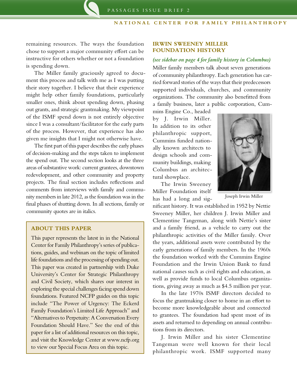remaining resources. The ways the foundation chose to support a major community effort can be instructive for others whether or not a foundation is spending down.

The Miller family graciously agreed to document this process and talk with me as I was putting their story together. I believe that their experience might help other family foundations, particularly smaller ones, think about spending down, phasing out grants, and strategic grantmaking. My viewpoint of the ISMF spend down is not entirely objective since I was a consultant/facilitator for the early parts of the process. However, that experience has also given me insights that I might not otherwise have.

The first part of this paper describes the early phases of decision-making and the steps taken to implement the spend out. The second section looks at the three areas of substantive work: current grantees, downtown redevelopment, and other community and property projects. The final section includes reflections and comments from interviews with family and community members in late 2012, as the foundation was in the final phases of shutting down. In all sections, family or community quotes are in italics.

#### **ABOUT THIS PAPER**

This paper represents the latest in in the National Center for Family Philanthropy's series of publications, guides, and webinars on the topic of limited life foundations and the processing of spending out. This paper was created in partnership with Duke University's Center for Strategic Philanthropy and Civil Society, which shares our interest in exploring the special challenges facing spend down foundations. Featured NCFP guides on this topic include "The Power of Urgency: The Eckerd Family Foundation's Limited Life Approach" and "Alternatives to Perpetuity: A Conversation Every Foundation Should Have." See the end of this paper for a list of additional resources on this topic, and visit the Knowledge Center at www.ncfp.org to view our Special Focus Area on this topic.

#### **Irwin Sweeney Miller Foundation History**

#### *(see sidebar on page 4 for family history in Columbus)*

Miller family members talk about seven generations of community philanthropy. Each generation has carried forward stories of the ways that their predecessors supported individuals, churches, and community organizations. The community also benefitted from a family business, later a public corporation, Cum-

mins Engine Co., headed by J. Irwin Miller. In addition to its other philanthropic support, Cummins funded nationally known architects to design schools and community buildings, making Columbus an architectural showplace.

The Irwin Sweeney Miller Foundation itself has had a long and sig-



Joseph Irwin Miller

nificant history. It was established in 1952 by Nettie Sweeney Miller, her children J. Irwin Miller and Clementine Tangeman, along with Nettie's sister and a family friend, as a vehicle to carry out the philanthropic activities of the Miller family. Over the years, additional assets were contributed by the early generations of family members. In the 1960s the foundation worked with the Cummins Engine Foundation and the Irwin Union Bank to fund national causes such as civil rights and education, as well as provide funds to local Columbus organizations, giving away as much as \$4.5 million per year.

In the late 1970s ISMF directors decided to focus the grantmaking closer to home in an effort to become more knowledgeable about and connected to grantees. The foundation had spent most of its assets and returned to depending on annual contributions from its directors.

J. Irwin Miller and his sister Clementine Tangeman were well known for their local philanthropic work. ISMF supported many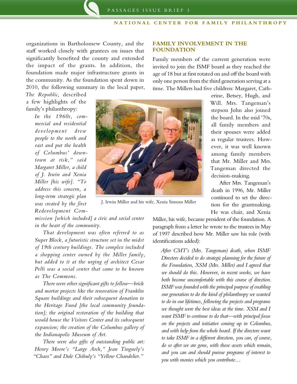**FAMILY INVOLVEMENT IN THE**

Family members of the current generation were invited to join the ISMF board as they reached the age of 18 but at first rotated on and off the board with only one person from the third generation serving at a

**FOUNDATION**

organizations in Bartholomew County, and the staff worked closely with grantees on issues that significantly benefited the county and extended the impact of the grants. In addition, the foundation made major infrastructure grants in the community. As the foundation spent down in 2010, the following summary in the local paper,

*The Republic*, described a few highlights of the family's philanthropy:

> *In the 1960s, commercial and residential development drew people to the north and east and put the health of Columbus' downtown at risk," said Margaret Miller, a child of J. Irwin and Xenia Miller [his wife]. "To address this concern, a long-term strategic plan was created by the first Redevelopment Com-*

J. Irwin Miller and his wife, Xenia Simons Miller

time. The Millers had five children: Margaret, Catherine, Betsey, Hugh, and Will. Mrs. Tangeman's stepson John also joined the board. In the mid '70s, all family members and their spouses were added as regular trustees. However, it was well known among family members that Mr. Miller and Mrs. Tangeman directed the decision-making.

> After Mrs. Tangeman's death in 1996, Mr. Miller continued to set the direction for the grantmaking. He was chair, and Xenia

*mission [which included] a civic and social center in the heart of the community.*

*That development was often referred to as Super Block, a futuristic structure set in the midst of 19th century buildings. The complex included a shopping center owned by the Miller family, but added to it at the urging of architect Cesar Pelli was a social center that came to be known as The Commons.*

*There were other significant gifts to follow—brick and mortar projects like the renovation of Franklin Square buildings and their subsequent donation to the Heritage Fund [the local community foundation]; the original restoration of the building that would house the Visitors Center and its subsequent expansion; the creation of the Columbus gallery of the Indianapolis Museum of Art.*

*There were also gifts of outstanding public art: Henry Moore's "Large Arch," Jean Tinguely's "Chaos" and Dale Chihuly's "Yellow Chandelier."*

Miller, his wife, became president of the foundation. A paragraph from a letter he wrote to the trustees in May of 1997 described how Mr. Miller saw his role (with identifications added):

*After CMT's (Mrs. Tangeman) death, when ISMF Directors decided to do strategic planning for the future of the Foundation, XSM (Mrs. Miller) and I agreed that we should do this. However, in recent weeks, we have both become uncomfortable with this course of direction. ISMF was founded with the principal purpose of enabling our generation to do the kind of philanthropy we wanted to do in our lifetimes, following the projects and programs we thought were the best ideas at the time. XSM and I want ISMF to continue to do that—with principal focus on the projects and initiative coming up in Columbus, and with help from the whole board. If the directors want to take ISMF in a different direction, you can, of course, do so after we are gone, with those assets which remain, and you can and should pursue programs of interest to you with monies which you contribute…*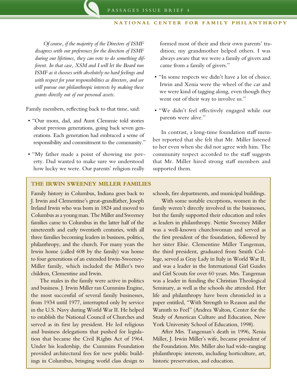*Of course, if the majority of the Directors of ISMF disagrees with our preferences for the direction of ISMF during our lifetimes, they can vote to do something different. In that case, XSM and I will let the Board run ISMF as it chooses with absolutely no hard feelings and with respect for your responsibilities as directors, and we will pursue our philanthropic interests by making these grants directly out of our personal assets.*

Family members, reflecting back to that time, said:

- • "Our mom, dad, and Aunt Clemmie told stories about previous generations, going back seven generations. Each generation had embraced a sense of responsibility and commitment to the community."
- "My father made a point of showing me poverty. Dad wanted to make sure we understood how lucky we were. Our parents' religion really

formed most of their and their own parents' tradition; my grandmother helped others. I was always aware that we were a family of givers and came from a family of givers."

- • "In some respects we didn't have a lot of choice. Irwin and Xenia were the wheel of the car and we were kind of tagging along, even though they went out of their way to involve us."
- • "We didn't feel effectively engaged while our parents were alive."

In contrast, a long-time foundation staff member reported that she felt that Mr. Miller listened to her even when she did not agree with him. The community respect accorded to the staff suggests that Mr. Miller hired strong staff members and supported them.

#### **The IRWIN SWEENEY MILLER FAMILIES**

Family history in Columbus, Indiana goes back to J. Irwin and Clementine's great-grandfather, Joseph Ireland Irwin who was born in 1824 and moved to Columbus as a young man. The Miller and Sweeney families came to Columbus in the latter half of the nineteenth and early twentieth centuries, with all three families becoming leaders in business, politics, philanthropy, and the church. For many years the Irwin home (called 608 by the family) was home to four generations of an extended Irwin-Sweeney-Miller family, which included the Miller's two children, Clementine and Irwin.

The males in the family were active in politics and business. J. Irwin Miller ran Cummins Engine, the most successful of several family businesses, from 1934 until 1977, interrupted only by service in the U.S. Navy during World War II. He helped to establish the National Council of Churches and served as its first lay president. He led religious and business delegations that pushed for legislation that became the Civil Rights Act of 1964. Under his leadership, the Cummins Foundation provided architectural fees for new public buildings in Columbus, bringing world class design to

schools, fire departments, and municipal buildings.

With some notable exceptions, women in the family weren't directly involved in the businesses, but the family supported their education and roles as leaders in philanthropy. Nettie Sweeney Miller was a well-known churchwoman and served as the first president of the foundation, followed by her sister Elsie. Clementine Miller Tangeman, the third president, graduated from Smith College, served as Gray Lady in Italy in World War II, and was a leader in the International Girl Guides and Girl Scouts for over 60 years. Mrs. Tangeman was a leader in funding the Christian Theological Seminary, as well as the schools she attended. Her life and philanthropy have been chronicled in a paper entitled, "With Strength to Reason and the Warmth to Feel" (Andrea Walton, Center for the Study of American Culture and Education, New York University School of Education, 1998).

After Mrs. Tangeman's death in 1996, Xenia Miller, J. Irwin Miller's wife, became president of the Foundation. Mrs. Miller also had wide-ranging philanthropic interests, including horticulture, art, historic preservation, and education.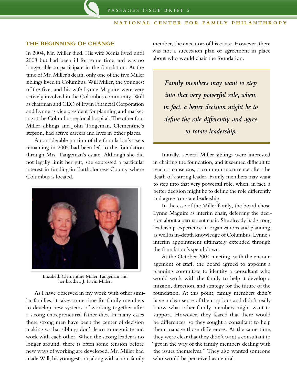#### **THE BEGINNING OF CHANGE**

In 2004, Mr. Miller died. His wife Xenia lived until 2008 but had been ill for some time and was no longer able to participate in the foundation. At the time of Mr. Miller's death, only one of the five Miller siblings lived in Columbus. Will Miller, the youngest of the five, and his wife Lynne Maguire were very actively involved in the Columbus community, Will as chairman and CEO of Irwin Financial Corporation and Lynne as vice president for planning and marketing at the Columbus regional hospital. The other four Miller siblings and John Tangeman, Clementine's stepson, had active careers and lives in other places.

A considerable portion of the foundation's assets remaining in 2005 had been left to the foundation through Mrs. Tangeman's estate. Although she did not legally limit her gift, she expressed a particular interest in funding in Bartholomew County where Columbus is located.



Elizabeth Clementine Miller Tangeman and her brother, J. Irwin Miller.

As I have observed in my work with other similar families, it takes some time for family members to develop new systems of working together after a strong entrepreneurial father dies. In many cases these strong men have been the center of decision making so that siblings don't learn to negotiate and work with each other. When the strong leader is no longer around, there is often some tension before new ways of working are developed. Mr. Miller had made Will, his youngest son, along with a non-family

member, the executors of his estate. However, there was not a succession plan or agreement in place about who would chair the foundation.

*Family members may want to step into that very powerful role, when, in fact, a better decision might be to define the role differently and agree to rotate leadership.* 

Initially, several Miller siblings were interested in chairing the foundation, and it seemed difficult to reach a consensus, a common occurrence after the death of a strong leader. Family members may want to step into that very powerful role, when, in fact, a better decision might be to define the role differently and agree to rotate leadership.

In the case of the Miller family, the board chose Lynne Maguire as interim chair, deferring the decision about a permanent chair. She already had strong leadership experience in organizations and planning, as well as in-depth knowledge of Columbus. Lynne's interim appointment ultimately extended through the foundation's spend down.

At the October 2004 meeting, with the encouragement of staff, the board agreed to appoint a planning committee to identify a consultant who would work with the family to help it develop a mission, direction, and strategy for the future of the foundation. At this point, family members didn't have a clear sense of their options and didn't really know what other family members might want to support. However, they feared that there would be differences, so they sought a consultant to help them manage those differences. At the same time, they were clear that they didn't want a consultant to "get in the way of the family members dealing with the issues themselves." They also wanted someone who would be perceived as neutral.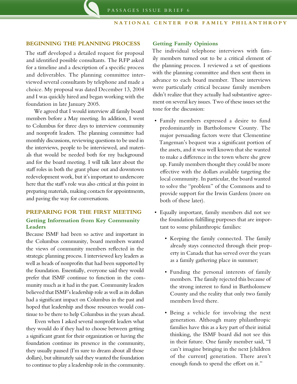#### **BEGINNING THE PLANNING PROCESS**

The staff developed a detailed request for proposal and identified possible consultants. The RFP asked for a timeline and a description of a specific process and deliverables. The planning committee interviewed several consultants by telephone and made a choice. My proposal was dated December 13, 2004 and I was quickly hired and began working with the foundation in late January 2005.

We agreed that I would interview all family board members before a May meeting. In addition, I went to Columbus for three days to interview community and nonprofit leaders. The planning committee had monthly discussions, reviewing questions to be used in the interviews, people to be interviewed, and materials that would be needed both for my background and for the board meeting. I will talk later about the staff roles in both the grant phase out and downtown redevelopment work, but it's important to underscore here that the staff's role was also critical at this point in preparing materials, making contacts for appointments, and paving the way for conversations.

#### **PREPARING FOR THE FIRST MEETING Getting Information from Key Community Leaders**

Because ISMF had been so active and important in the Columbus community, board members wanted the views of community members reflected in the strategic planning process. I interviewed key leaders as well as heads of nonprofits that had been supported by the foundation. Essentially, everyone said they would prefer that ISMF continue to function in the community much as it had in the past. Community leaders believed that ISMF's leadership role as well as its dollars had a significant impact on Columbus in the past and hoped that leadership and those resources would continue to be there to help Columbus in the years ahead.

Even when I asked several nonprofit leaders what they would do if they had to choose between getting a significant grant for their organization or having the foundation continue its presence in the community, they usually paused (I'm sure to dream about all those dollars), but ultimately said they wanted the foundation to continue to play a leadership role in the community.

#### **Getting Family Opinions**

The individual telephone interviews with family members turned out to be a critical element of the planning process. I reviewed a set of questions with the planning committee and then sent them in advance to each board member. These interviews were particularly critical because family members didn't realize that they actually had substantive agreement on several key issues. Two of these issues set the tone for the discussion:

- • Family members expressed a desire to fund predominantly in Bartholomew County. The major persuading factors were that Clementine Tangeman's bequest was a significant portion of the assets, and it was well known that she wanted to make a difference in the town where she grew up. Family members thought they could be more effective with the dollars available targeting the local community. In particular, the board wanted to solve the "problem" of the Commons and to provide support for the Irwin Gardens (more on both of these later).
- • Equally important, family members did not see the foundation fulfilling purposes that are important to some philanthropic families:
	- • Keeping the family connected. The family already stays connected through their property in Canada that has served over the years as a family gathering place in summer;
	- Funding the personal interests of family members. The family rejected this because of the strong interest to fund in Bartholomew County and the reality that only two family members lived there.
	- • Being a vehicle for involving the next generation. Although many philanthropic families have this as a key part of their initial thinking, the ISMF board did not see this in their future. One family member said, "I can't imagine bringing in the next [children of the current] generation. There aren't enough funds to spend the effort on it."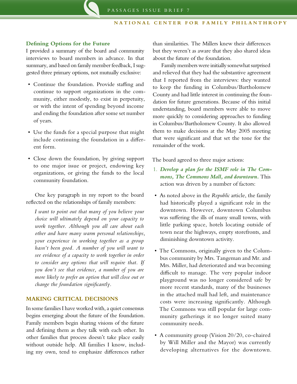#### **Defining Options for the Future**

I provided a summary of the board and community interviews to board members in advance. In that summary, and based on family member feedback, I suggested three primary options, not mutually exclusive:

- • Continue the foundation. Provide staffing and continue to support organizations in the community, either modestly, to exist in perpetuity, or with the intent of spending beyond income and ending the foundation after some set number of years.
- • Use the funds for a special purpose that might include continuing the foundation in a different form.
- Close down the foundation, by giving support to one major issue or project, endowing key organizations, or giving the funds to the local community foundation.

One key paragraph in my report to the board reflected on the relationships of family members:

*I want to point out that many of you believe your choice will ultimately depend on your capacity to work together. Although you all care about each other and have many warm personal relationships, your experience in working together as a group hasn't been good. A number of you will want to see evidence of a capacity to work together in order to consider any options that will require that. If you don't see that evidence, a number of you are more likely to prefer an option that will close out or change the foundation significantly.*

#### **MAKING CRITICAL DECISIONS**

In some families I have worked with, a quiet consensus begins emerging about the future of the foundation. Family members begin sharing visions of the future and defining them as they talk with each other. In other families that process doesn't take place easily without outside help. All families I know, including my own, tend to emphasize differences rather

than similarities. The Millers knew their differences but they weren't as aware that they also shared ideas about the future of the foundation.

Family members were initially somewhat surprised and relieved that they had the substantive agreement that I reported from the interviews: they wanted to keep the funding in Columbus/Bartholomew County and had little interest in continuing the foundation for future generations. Because of this initial understanding, board members were able to move more quickly to considering approaches to funding in Columbus/Bartholomew County. It also allowed them to make decisions at the May 2005 meeting that were significant and that set the tone for the remainder of the work.

The board agreed to three major actions:

- 1. *Develop a plan for the ISMF role in The Commons, The Commons Mall, and downtown.* This action was driven by a number of factors:
- • As noted above in the *Republic* article, the family had historically played a significant role in the downtown. However, downtown Columbus was suffering the ills of many small towns, with little parking space, hotels locating outside of town near the highways, empty storefronts, and diminishing downtown activity.
- The Commons, originally given to the Columbus community by Mrs. Tangeman and Mr. and Mrs. Miller, had deteriorated and was becoming difficult to manage. The very popular indoor playground was no longer considered safe by more recent standards, many of the businesses in the attached mall had left, and maintenance costs were increasing significantly. Although The Commons was still popular for large community gatherings it no longer suited many community needs.
- • A community group (Vision 20/20, co-chaired by Will Miller and the Mayor) was currently developing alternatives for the downtown.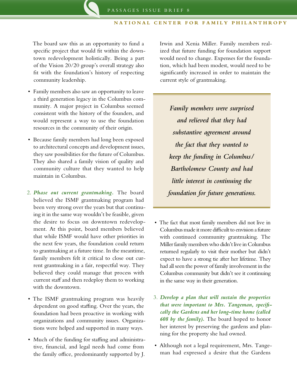The board saw this as an opportunity to fund a specific project that would fit within the downtown redevelopment holistically. Being a part of the Vision 20/20 group's overall strategy also fit with the foundation's history of respecting community leadership.

- Family members also saw an opportunity to leave a third generation legacy in the Columbus community. A major project in Columbus seemed consistent with the history of the founders, and would represent a way to use the foundation resources in the community of their origin.
- • Because family members had long been exposed to architectural concepts and development issues, they saw possibilities for the future of Columbus. They also shared a family vision of quality and community culture that they wanted to help maintain in Columbus.
- 2. *Phase out current grantmaking.* The board believed the ISMF grantmaking program had been very strong over the years but that continuing it in the same way wouldn't be feasible, given the desire to focus on downtown redevelopment. At this point, board members believed that while ISMF would have other priorities in the next few years, the foundation could return to grantmaking at a future time. In the meantime, family members felt it critical to close out current grantmaking in a fair, respectful way. They believed they could manage that process with current staff and then redeploy them to working with the downtown.
- The ISMF grantmaking program was heavily dependent on good staffing. Over the years, the foundation had been proactive in working with organizations and community issues. Organizations were helped and supported in many ways.
- Much of the funding for staffing and administrative, financial, and legal needs had come from the family office, predominantly supported by J.

Irwin and Xenia Miller. Family members realized that future funding for foundation support would need to change. Expenses for the foundation, which had been modest, would need to be significantly increased in order to maintain the current style of grantmaking.

*Family members were surprised and relieved that they had substantive agreement around the fact that they wanted to keep the funding in Columbus/ Bartholomew County and had little interest in continuing the foundation for future generations.*

- • The fact that most family members did not live in Columbus made it more difficult to envision a future with continued community grantmaking. The Miller family members who didn't live in Columbus returned regularly to visit their mother but didn't expect to have a strong tie after her lifetime. They had all seen the power of family involvement in the Columbus community but didn't see it continuing in the same way in their generation.
- 3. *Develop a plan that will sustain the properties that were important to Mrs. Tangeman, specifically the Gardens and her long-time home (called 608 by the family).* The board hoped to honor her interest by preserving the gardens and planning for the property she had owned.
- Although not a legal requirement, Mrs. Tangeman had expressed a desire that the Gardens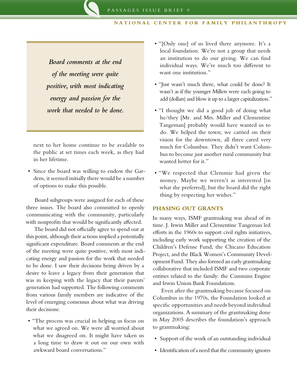*Board comments at the end of the meeting were quite positive, with most indicating energy and passion for the work that needed to be done.* 

next to her home continue to be available to the public at set times each week, as they had in her lifetime.

• Since the board was willing to endow the Gardens, it seemed initially there would be a number of options to make this possible.

Board subgroups were assigned for each of these three issues. The board also committed to openly communicating with the community, particularly with nonprofits that would be significantly affected.

The board did not officially agree to spend out at this point, although their actions implied a potentially significant expenditure. Board comments at the end of the meeting were quite positive, with most indicating energy and passion for the work that needed to be done. I saw their decisions being driven by a desire to leave a legacy from their generation that was in keeping with the legacy that their parents' generation had supported. The following comments from various family members are indicative of the level of emerging consensus about what was driving their decisions:

• "The process was crucial in helping us focus on what we agreed on. We were all worried about what we disagreed on. It might have taken us a long time to draw it out on our own with awkward board conversations."

- • "[Only one] of us lived there anymore. It's a local foundation. We're not a group that needs an institution to do our giving. We can find individual ways. We're much too different to want one institution."
- "Just wasn't much there, what could be done? It wasn't as if the younger Millers were each going to add (dollars) and blow it up to a larger capitalization."
- "I thought we did a good job of doing what he/they [Mr. and Mrs. Miller and Clementine Tangeman] probably would have wanted us to do. We helped the town; we carried on their vision for the downtown, all three cared very much for Columbus. They didn't want Columbus to become just another rural community but wanted better for it."
- • "We respected that Clemmie had given the money. Maybe we weren't as interested [in what she preferred], but the board did the right thing by respecting her wishes."

#### **PHASING OUT GRANTS**

In many ways, ISMF grantmaking was ahead of its time. J. Irwin Miller and Clementine Tangeman led efforts in the 1960s to support civil rights initiatives, including early work supporting the creation of the Children's Defense Fund, the Chicano Education Project, and the Black Women's Community Development Fund. They also formed an early grantmaking collaborative that included ISMF and two corporate entities related to the family: the Cummins Engine and Irwin Union Bank Foundations.

Even after the grantmaking became focused on Columbus in the 1970s, the Foundation looked at specific opportunities and needs beyond individual organizations. A summary of the grantmaking done in May 2005 describes the foundation's approach to grantmaking:

- Support of the work of an outstanding individual
- Identification of a need that the community ignores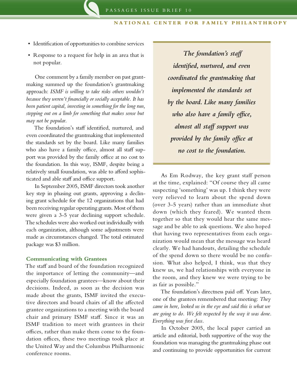- Identification of opportunities to combine services
- Response to a request for help in an area that is not popular.

One comment by a family member on past grantmaking summed up the foundation's grantmaking approach: *ISMF is willing to take risks others wouldn't because they weren't financially or socially acceptable. It has been patient capital, investing in something for the long run, stepping out on a limb for something that makes sense but may not be popular.*

The foundation's staff identified, nurtured, and even coordinated the grantmaking that implemented the standards set by the board. Like many families who also have a family office, almost all staff support was provided by the family office at no cost to the foundation. In this way, ISMF, despite being a relatively small foundation, was able to afford sophisticated and able staff and office support.

In September 2005, ISMF directors took another key step in phasing out grants, approving a declining grant schedule for the 12 organizations that had been receiving regular operating grants. Most of them were given a 3-5 year declining support schedule. The schedules were also worked out individually with each organization, although some adjustments were made as circumstances changed. The total estimated package was \$3 million.

#### **Communicating with Grantees**

The staff and board of the foundation recognized the importance of letting the community—and especially foundation grantees—know about their decisions. Indeed, as soon as the decision was made about the grants, ISMF invited the executive directors and board chairs of all the affected grantee organizations to a meeting with the board chair and primary ISMF staff. Since it was an ISMF tradition to meet with grantees in their offices, rather than make them come to the foundation offices, these two meetings took place at the United Way and the Columbus Philharmonic conference rooms.

 *The foundation's staff identified, nurtured, and even coordinated the grantmaking that implemented the standards set by the board. Like many families who also have a family office, almost all staff support was provided by the family office at no cost to the foundation.* 

As Em Rodway, the key grant staff person at the time, explained: "Of course they all came suspecting 'something' was up. I think they were very relieved to learn about the spend down (over 3-5 years) rather than an immediate shut down (which they feared). We wanted them together so that they would hear the same message and be able to ask questions. We also hoped that having two representatives from each organization would mean that the message was heard clearly. We had handouts, detailing the schedule of the spend down so there would be no confusion. What also helped, I think, was that they knew us, we had relationships with everyone in the room, and they knew we were trying to be as fair as possible."

The foundation's directness paid off. Years later, one of the grantees remembered that meeting: *They came in here, looked us in the eye and said this is what we are going to do. We felt respected by the way it was done. Everything was first class.*

In October 2005, the local paper carried an article and editorial, both supportive of the way the foundation was managing the grantmaking phase out and continuing to provide opportunities for current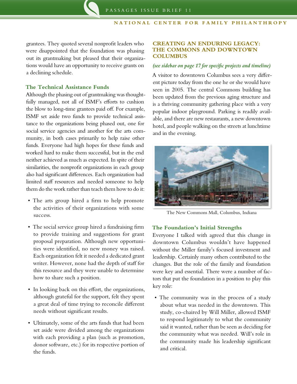grantees. They quoted several nonprofit leaders who were disappointed that the foundation was phasing out its grantmaking but pleased that their organizations would have an opportunity to receive grants on a declining schedule.

#### **The Technical Assistance Funds**

Although the phasing out of grantmaking was thoughtfully managed, not all of ISMF's efforts to cushion the blow to long-time grantees paid off. For example, ISMF set aside two funds to provide technical assistance to the organizations being phased out, one for social service agencies and another for the arts community, in both cases primarily to help raise other funds. Everyone had high hopes for these funds and worked hard to make them successful, but in the end neither achieved as much as expected. In spite of their similarities, the nonprofit organizations in each group also had significant differences. Each organization had limited staff resources and needed someone to help them do the work rather than teach them how to do it:

- The arts group hired a firm to help promote the activities of their organizations with some success.
- The social service group hired a fundraising firm to provide training and suggestions for grant proposal preparation. Although new opportunities were identified, no new money was raised. Each organization felt it needed a dedicated grant writer. However, none had the depth of staff for this resource and they were unable to determine how to share such a position.
- In looking back on this effort, the organizations, although grateful for the support, felt they spent a great deal of time trying to reconcile different needs without significant results.
- Ultimately, some of the arts funds that had been set aside were divided among the organizations with each providing a plan (such as promotion, donor software, etc.) for its respective portion of the funds.

#### **CREATING AN ENDURING LEGACY: THE COMMONS AND DOWNTOWN COLUMBUS**

#### *(see sidebar on page 17 for specific projects and timeline)*

A visitor to downtown Columbus sees a very different picture today from the one he or she would have seen in 2005. The central Commons building has been updated from the previous aging structure and is a thriving community gathering place with a very popular indoor playground. Parking is readily available, and there are new restaurants, a new downtown hotel, and people walking on the streets at lunchtime and in the evening.



The New Commons Mall, Columbus, Indiana

#### **The Foundation's Initial Strengths**

Everyone I talked with agreed that this change in downtown Columbus wouldn't have happened without the Miller family's focused investment and leadership. Certainly many others contributed to the changes. But the role of the family and foundation were key and essential. There were a number of factors that put the foundation in a position to play this key role:

• The community was in the process of a study about what was needed in the downtown. This study, co-chaired by Will Miller, allowed ISMF to respond legitimately to what the community said it wanted, rather than be seen as deciding for the community what was needed. Will's role in the community made his leadership significant and critical.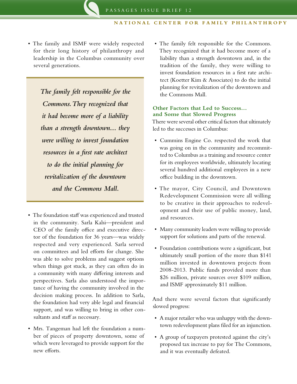• The family and ISMF were widely respected for their long history of philanthropy and leadership in the Columbus community over several generations.

> *The family felt responsible for the Commons. They recognized that it had become more of a liability than a strength downtown… they were willing to invest foundation resources in a first rate architect to do the initial planning for revitalization of the downtown and the Commons Mall.*

- The foundation staff was experienced and trusted in the community. Sarla Kalsi—president and CEO of the family office and executive director of the foundation for 36 years—was widely respected and very experienced. Sarla served on committees and led efforts for change. She was able to solve problems and suggest options when things got stuck, as they can often do in a community with many differing interests and perspectives. Sarla also understood the importance of having the community involved in the decision making process. In addition to Sarla, the foundation had very able legal and financial support, and was willing to bring in other consultants and staff as necessary.
- • Mrs. Tangeman had left the foundation a number of pieces of property downtown, some of which were leveraged to provide support for the new efforts.

• The family felt responsible for the Commons. They recognized that it had become more of a liability than a strength downtown and, in the tradition of the family, they were willing to invest foundation resources in a first rate architect (Koetter Kim & Associates) to do the initial planning for revitalization of the downtown and the Commons Mall.

#### **Other Factors that Led to Success… and Some that Slowed Progress**

There were several other critical factors that ultimately led to the successes in Columbus:

- • Cummins Engine Co. respected the work that was going on in the community and recommitted to Columbus as a training and resource center for its employees worldwide, ultimately locating several hundred additional employees in a new office building in the downtown.
- • The mayor, City Council, and Downtown Redevelopment Commission were all willing to be creative in their approaches to redevelopment and their use of public money, land, and resources.
- Many community leaders were willing to provide support for solutions and parts of the renewal.
- Foundation contributions were a significant, but ultimately small portion of the more than \$141 million invested in downtown projects from 2008-2013. Public funds provided more than \$26 million, private sources over \$109 million, and ISMF approximately \$11 million.

And there were several factors that significantly slowed progress:

- • A major retailer who was unhappy with the downtown redevelopment plans filed for an injunction.
- • A group of taxpayers protested against the city's proposed tax increase to pay for The Commons, and it was eventually defeated.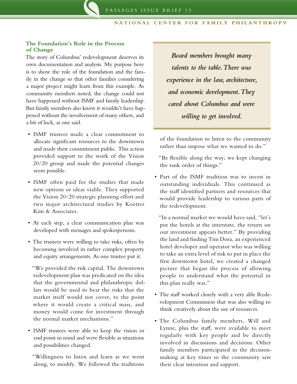#### **The Foundation's Role in the Process of Change**

The story of Columbus' redevelopment deserves its own documentation and analysis. My purpose here is to show the role of the foundation and the family in the change so that other families considering a major project might learn from this example. As community members noted, the change could not have happened without ISMF and family leadership. But family members also know it wouldn't have happened without the involvement of many others, and a bit of luck, as one said.

- • ISMF trustees made a clear commitment to allocate significant resources to the downtown and made their commitment public. This action provided support to the work of the Vision 20/20 group and made the potential changes seem possible.
- • ISMF often paid for the studies that made new options or ideas viable. They supported the Vision 20/20 strategic planning effort and two major architectural studies by Koetter Kim & Associates.
- • At each step, a clear communication plan was developed with messages and spokespersons.
- The trustees were willing to take risks, often by becoming involved in rather complex property and equity arrangements. As one trustee put it:

"We provided the risk capital. The downtown redevelopment plan was predicated on the idea that the governmental and philanthropic dollars would be used to bear the risks that the market itself would not cover, to the point where it would create a critical mass, and money would come for investment through the normal market mechanisms."

• ISMF trustees were able to keep the vision or end point in mind and were flexible as situations and possibilities changed.

"Willingness to listen and learn as we went along, to modify. We followed the traditions

*Board members brought many talents to the table. There was experience in the law, architecture, and economic development. They cared about Columbus and were willing to get involved.*

of the foundation to listen to the community rather than impose what we wanted to do."

"Be flexible along the way; we kept changing the rank order of things."

• Part of the ISMF tradition was to invest in outstanding individuals. This continued as the staff identified partners and resources that would provide leadership to various parts of the redevelopment.

"In a normal market we would have said, "let's put the hotels at the interstate, the return on our investment appears better." By providing the land and finding Tim Dora, an experienced hotel developer and operator who was willing to take an extra level of risk to put in place the first downtown hotel, we created a changed picture that began the process of allowing people to understand what the potential in this plan really was."

- The staff worked closely with a very able Redevelopment Commission that was also willing to think creatively about the use of resources.
- • The Columbus family members, Will and Lynne, plus the staff, were available to meet regularly with key people and be directly involved in discussions and decisions. Other family members participated in the decisionmaking at key times so the community saw their clear intention and support.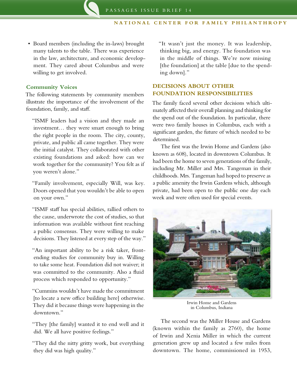• Board members (including the in-laws) brought many talents to the table. There was experience in the law, architecture, and economic development. They cared about Columbus and were willing to get involved.

#### **Community Voices**

The following statements by community members illustrate the importance of the involvement of the foundation, family, and staff.

"ISMF leaders had a vision and they made an investment… they were smart enough to bring the right people in the room. The city, county, private, and public all came together. They were the initial catalyst. They collaborated with other existing foundations and asked: how can we work together for the community? You felt as if you weren't alone."

"Family involvement, especially Will, was key. Doors opened that you wouldn't be able to open on your own."

"ISMF staff has special abilities, rallied others to the cause, underwrote the cost of studies, so that information was available without first reaching a public consensus. They were willing to make decisions. They listened at every step of the way."

"An important ability to be a risk taker, frontending studies for community buy in. Willing to take some heat. Foundation did not waiver; it was committed to the community. Also a fluid process which responded to opportunity."

"Cummins wouldn't have made the commitment [to locate a new office building here] otherwise. They did it because things were happening in the downtown."

"They [the family] wanted it to end well and it did. We all have positive feelings."

"They did the nitty gritty work, but everything they did was high quality."

"It wasn't just the money. It was leadership, thinking big, and energy. The foundation was in the middle of things. We're now missing [the foundation] at the table [due to the spending down]."

#### **DECISIONS ABOUT OTHER FOUNDATION RESPONSIBILITIES**

The family faced several other decisions which ultimately affected their overall planning and thinking for the spend out of the foundation. In particular, there were two family houses in Columbus, each with a significant garden, the future of which needed to be determined.

The first was the Irwin Home and Gardens (also known as 608), located in downtown Columbus. It had been the home to seven generations of the family, including Mr. Miller and Mrs. Tangeman in their childhoods. Mrs. Tangeman had hoped to preserve as a public amenity the Irwin Gardens which, although private, had been open to the public one day each week and were often used for special events.



Irwin Home and Gardens in Columbus, Indiana

The second was the Miller House and Gardens (known within the family as 2760), the home of Irwin and Xenia Miller in which the current generation grew up and located a few miles from downtown. The home, commissioned in 1953,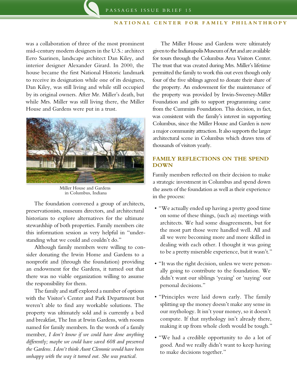was a collaboration of three of the most prominent mid-century modern designers in the U.S.: architect Eero Saarinen, landscape architect Dan Kiley, and interior designer Alexander Girard. In 2000, the house became the first National Historic landmark to receive its designation while one of its designers, Dan Kiley, was still living and while still occupied by its original owners. After Mr. Miller's death, but while Mrs. Miller was still living there, the Miller House and Gardens were put in a trust.



Miller House and Gardens in Columbus, Indiana

The foundation convened a group of architects, preservationists, museum directors, and architectural historians to explore alternatives for the ultimate stewardship of both properties. Family members cite this information session as very helpful in "understanding what we could and couldn't do."

Although family members were willing to consider donating the Irwin Home and Gardens to a nonprofit and (through the foundation) providing an endowment for the Gardens, it turned out that there was no viable organization willing to assume the responsibility for them.

The family and staff explored a number of options with the Visitor's Center and Park Department but weren't able to find any workable solutions. The property was ultimately sold and is currently a bed and breakfast, The Inn at Irwin Gardens, with rooms named for family members. In the words of a family member, *I don't know if we could have done anything differently; maybe we could have saved 608 and preserved the Gardens. I don't think Aunt Clemmie would have been unhappy with the way it turned out. She was practical.*

The Miller House and Gardens were ultimately given to the Indianapolis Museum of Art and are available for tours through the Columbus Area Visitors Center. The trust that was created during Mrs. Miller's lifetime permitted the family to work this out even though only four of the five siblings agreed to donate their share of the property. An endowment for the maintenance of the property was provided by Irwin-Sweeney-Miller Foundation and gifts to support programming came from the Cummins Foundation. This decision, in fact, was consistent with the family's interest in supporting Columbus, since the Miller House and Garden is now a major community attraction. It also supports the larger architectural scene in Columbus which draws tens of thousands of visitors yearly.

#### **FAMILY REFLECTIONS ON THE SPEND DOWN**

Family members reflected on their decision to make a strategic investment in Columbus and spend down the assets of the foundation as well as their experience in the process:

- "We actually ended up having a pretty good time on some of these things, (such as) meetings with architects. We had some disagreements, but for the most part those were handled well. All and all we were becoming more and more skilled in dealing with each other. I thought it was going to be a pretty miserable experience, but it wasn't."
- • "It was the right decision, unless we were personally going to contribute to the foundation. We didn't want our siblings 'yeaing' or 'naying' our personal decisions."
- • "Principles were laid down early. The family splitting up the money doesn't make any sense in our mythology. It isn't your money, so it doesn't compute. If that mythology isn't already there, making it up from whole cloth would be tough."
- • "We had a credible opportunity to do a lot of good. And we really didn't want to keep having to make decisions together."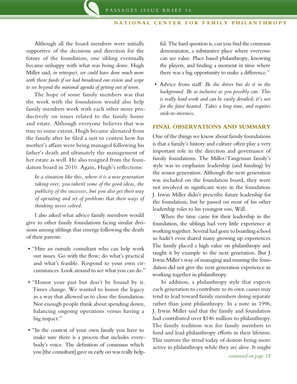Although all the board members were initially supportive of the decisions and direction for the future of the foundation, one sibling eventually became unhappy with what was being done. Hugh Miller said, *in retrospect, we could have done much more with those funds if we had broadened our vision and scope to see beyond the minimal agenda of getting out of town.* 

The hope of some family members was that the work with the foundation would also help family members work with each other more productively on issues related to the family home and estate. Although everyone believes that was true to some extent, Hugh became alienated from the family after he filed a suit to contest how his mother's affairs were being managed following his father's death and ultimately the management of her estate as well. He also resigned from the foundation board in 2010. Again, Hugh's reflections:

*In a situation like this, where it is a new generation taking over, you inherit some of the good ideas, the publicity of the successes, but you also get their way of operating and set of problems that their ways of thinking never solved.*

I also asked what advice family members would give to other family foundations facing similar divisions among siblings that emerge following the death of their parents:

- • "Hire an outside consultant who can help work out issues. Go with the flow; do what's practical and what's feasible. Respond to your own circumstances. Look around to see what you can do."
- "Honor your past but don't be bound by it. Times change. We wanted to honor the legacy in a way that allowed us to close the foundation. Not enough people think about spending down, balancing ongoing operations versus having a big impact."
- "In the context of your own family you have to make sure there is a process that includes everybody's voice. The definition of consensus which you [the consultant] gave us early on was really help-

ful. The hard question is, can you find the common denominator, a substantive place where everyone can see value. Place based philanthropy, knowing the players, and finding a moment in time where there was a big opportunity to make a difference."

• Advice from staff: *Be the driver but do it in the background. Be as inclusive as you possibly can. This is really hard work and can be easily derailed; it's not for the faint hearted. Takes a long time, and requires stick-to-itiveness.*

#### **FINAL OBSERVATIONS AND SUMMARY**

One of the things we know about family foundations is that a family's history and culture often play a very important role in the direction and governance of family foundations. The Miller/Tangeman family's style was to emphasize leadership (and funding) by the senior generation. Although the next generation was included on the foundation board, they were not involved in significant ways in the foundation. J. Irwin Miller didn't prescribe future leadership for the foundation, but he passed on most of his other leadership roles to his youngest son, Will.

When the time came for their leadership in the foundation, the siblings had very little experience at working together. Several had gone to boarding school so hadn't even shared many growing up experiences. The family placed a high value on philanthropy and taught it by example to the next generation. But J. Irwin Miller's way of managing and running the foundation did not give the next generation experience in working together in philanthropy.

In addition, a philanthropy style that expects each generation to contribute to its own causes may tend to lead toward family members doing separate rather than joint philanthropy. In a note in 1996, J. Irwin Miller said that the family and foundation had contributed over \$146 million to philanthropy. The family tradition was for family members to fund and lead philanthropy efforts in their lifetime. This mirrors the trend today of donors being more active in philanthropy while they are alive. It might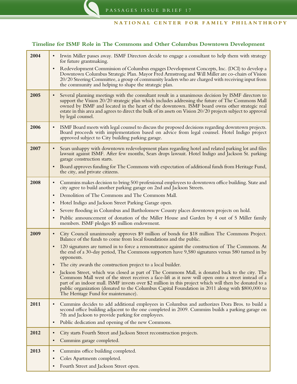#### **Timeline for ISMF Role in The Commons and Other Columbus Downtown Development**

| 2004 | Irwin Miller passes away. ISMF Directors decide to engage a consultant to help them with strategy<br>$\bullet$<br>for future grantmaking.                                                                                                                                                                                                                                                                                                                |
|------|----------------------------------------------------------------------------------------------------------------------------------------------------------------------------------------------------------------------------------------------------------------------------------------------------------------------------------------------------------------------------------------------------------------------------------------------------------|
|      | Redevelopment Commission of Columbus engages Development Concepts, Inc. (DCI) to develop a<br>$\bullet$<br>Downtown Columbus Strategic Plan. Mayor Fred Armstrong and Will Miller are co-chairs of Vision<br>20/20 Steering Committee, a group of community leaders who are charged with receiving input from<br>the community and helping to shape the strategic plan.                                                                                  |
| 2005 | Several planning meetings with the consultant result in a unanimous decision by ISMF directors to<br>$\bullet$<br>support the Vision 20/20 strategic plan which includes addressing the future of The Commons Mall<br>owned by ISMF and located in the heart of the downtown. ISMF board owns other strategic real<br>estate in this area and agrees to direct the bulk of its assets on Vision 20/20 projects subject to approval<br>by legal counsel.  |
| 2006 | ISMF Board meets with legal counsel to discuss the proposed decisions regarding downtown projects.<br>$\bullet$<br>Board proceeds with implementation based on advice from legal counsel. Hotel Indigo project<br>approved subject to City building parking garage.                                                                                                                                                                                      |
| 2007 | Sears unhappy with downtown redevelopment plans regarding hotel and related parking lot and files<br>$\bullet$<br>lawsuit against ISMF. After few months, Sears drops lawsuit. Hotel Indigo and Jackson St. parking<br>garage construction starts.<br>Board approves funding for The Commons with expectation of additional funds from Heritage Fund,<br>$\bullet$<br>the city, and private citizens.                                                    |
| 2008 | Cummins makes decision to bring 500 professional employees to downtown office building. State and<br>$\bullet$<br>city agree to build another parking garage on 2nd and Jackson Streets.                                                                                                                                                                                                                                                                 |
|      | Demolition of The Commons and The Commons Mall.<br>$\bullet$                                                                                                                                                                                                                                                                                                                                                                                             |
|      | Hotel Indigo and Jackson Street Parking Garage open.<br>$\bullet$                                                                                                                                                                                                                                                                                                                                                                                        |
|      | Severe flooding in Columbus and Bartholomew County places downtown projects on hold.<br>$\bullet$                                                                                                                                                                                                                                                                                                                                                        |
|      | Public announcement of donation of the Miller House and Garden by 4 out of 5 Miller family<br>$\bullet$<br>members. ISMF pledges \$5 million endowment.                                                                                                                                                                                                                                                                                                  |
| 2009 | City Council unanimously approves \$9 million of bonds for \$18 million The Commons Project.<br>$\bullet$<br>Balance of the funds to come from local foundations and the public.                                                                                                                                                                                                                                                                         |
|      | 120 signatures are turned in to force a remonstrance against the construction of The Commons. At<br>$\bullet$<br>the end of a 30-day period, The Commons supporters have 9,580 signatures versus 580 turned in by<br>opponents.                                                                                                                                                                                                                          |
|      | The city awards the construction project to a local builder.<br>$\bullet$                                                                                                                                                                                                                                                                                                                                                                                |
|      | Jackson Street, which was closed as part of The Commons Mall, is donated back to the city. The<br>Commons Mall west of the street receives a face-lift as it now will open onto a street instead of a<br>part of an indoor mall. ISMF invests over \$2 million in this project which will then be donated to a<br>public organization (donated to the Columbus Capital Foundation in 2011 along with \$800,000 to<br>The Heritage Fund for maintenance). |
| 2011 | Cummins decides to add additional employees in Columbus and authorizes Dora Bros. to build a<br>$\bullet$<br>second office building adjacent to the one completed in 2009. Cummins builds a parking garage on<br>7th and Jackson to provide parking for employees.<br>Public dedication and opening of the new Commons.<br>$\bullet$                                                                                                                     |
| 2012 | City starts Fourth Street and Jackson Street reconstruction projects.<br>$\bullet$                                                                                                                                                                                                                                                                                                                                                                       |
|      | Cummins garage completed.<br>$\bullet$                                                                                                                                                                                                                                                                                                                                                                                                                   |
| 2013 | Cummins office building completed.<br>$\bullet$                                                                                                                                                                                                                                                                                                                                                                                                          |
|      | Coles Apartments completed.<br>$\bullet$                                                                                                                                                                                                                                                                                                                                                                                                                 |
|      | Fourth Street and Jackson Street open.<br>$\bullet$                                                                                                                                                                                                                                                                                                                                                                                                      |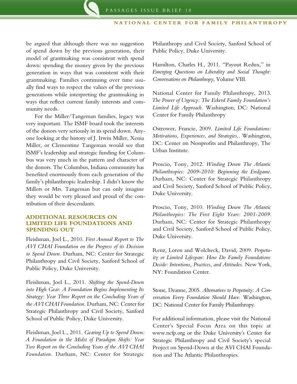be argued that although there was no suggestion of spend down by the previous generation, their model of grantmaking was consistent with spend down: spending the money given by the previous generation in ways that was consistent with their grantmaking. Families continuing over time usually find ways to respect the values of the previous generations while interpreting the grantmaking in ways that reflect current family interests and community needs.

For the Miller/Tangeman families, legacy was very important. The ISMF board took the interests of the donors very seriously in its spend down. Anyone looking at the history of J. Irwin Miller, Xenia Miller, or Clementine Tangeman would see that ISMF's leadership and strategic funding for Columbus was very much in the pattern and character of the donors. The Columbus, Indiana community has benefited enormously from each generation of the family's philanthropic leadership. I didn't know the Millers or Mrs. Tangeman but can only imagine they would be very pleased and proud of the contribution of their descendants.

#### **ADDITIONAL RESOURCES ON LIMITED LIFE FOUNDATIONS AND SPENDING OUT**

Fleishman, Joel L., 2010. *First Annual Report to The AVI CHAI Foundation on the Progress of its Decision to Spend Down.* Durham, NC: Center for Strategic Philanthropy and Civil Society, Sanford School of Public Policy, Duke University.

Fleishman, Joel L., 2011. *Shifting the Spend-Down into High Gear: A Foundation Begins Implementing Its Strategy: Year Three Report on the Concluding Years of the AVI CHAI Foundation.* Durham, NC: Center for Strategic Philanthropy and Civil Society, Sanford School of Public Policy, Duke University.

Fleishman, Joel L., 2011. *Gearing Up to Spend Down: A Foundation in the Midst of Paradigm Shifts: Year Two Report on the Concluding Years of the AVI CHAI Foundation.* Durham, NC: Center for Strategic

Philanthropy and Civil Society, Sanford School of Public Policy, Duke University.

Hamilton, Charles H., 2011. "Payout Redux," in *Emerging Questions on Liberality and Social Thought: Conversations on Philanthropy*, Volume VIII.

National Center for Family Philanthropy, 2013. *The Power of Urgency: The Eckerd Family Foundation's Limited Life Approach.* Washington, DC: National Center for Family Philanthropy

Ostrower, Francie, 2009. *Limited Life Foundations: Motivations, Experiences, and Strategies,.* Washington, DC: Center on Nonprofits and Philanthropy, The Urban Institute.

Proscio, Tony, 2012. *Winding Down The Atlantic Philanthropies: 2009-2010: Beginning the Endgame.*  Durham, NC: Center for Strategic Philanthropy and Civil Society, Sanford School of Public Policy, Duke University.

Proscio, Tony, 2010. *Winding Down The Atlantic Philanthropies: The First Eight Years: 2001-2009.*  Durham, NC: Center for Strategic Philanthropy and Civil Society, Sanford School of Public Policy, Duke University.

Renz, Loren and Wolcheck, David, 2009. *Perpetuity or Limited Lifespan: How Do Family Foundations Decide: Intentions, Practices, and Attitudes.* New York, NY: Foundation Center.

Stone, Deanne, 2005. *Alternatives to Perpetuity: A Conversation Every Foundation Should Have.* Washington, DC: National Center for Family Philanthropy.

For additional information, please visit the National Center's Special Focus Area on this topic at www.ncfp.org or the Duke University's Center for Strategic Philanthropy and Civil Society's special [Project on Spend-Down at the AVI CHAI Founda](http://cspcs.sanford.duke.edu/content/project-spend-down-avi-chai-foundation-and-atlantic-philanthropies)[tion and The Atlantic Philanthropies](http://cspcs.sanford.duke.edu/content/project-spend-down-avi-chai-foundation-and-atlantic-philanthropies).